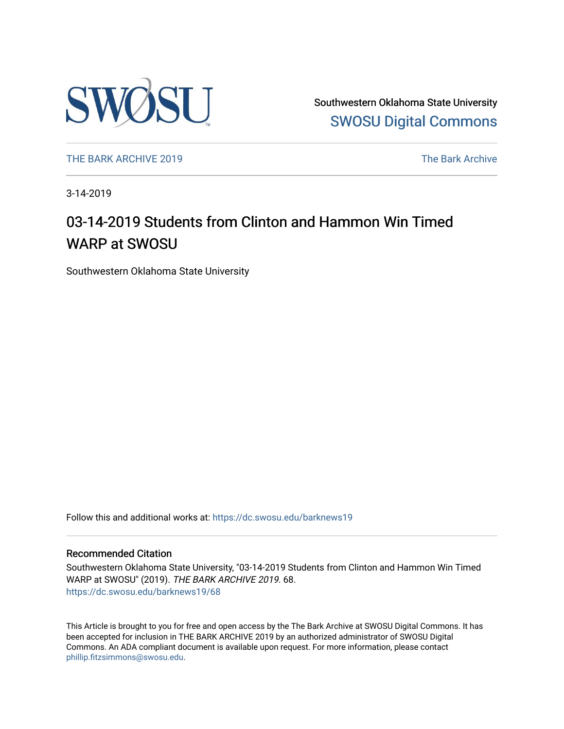

Southwestern Oklahoma State University [SWOSU Digital Commons](https://dc.swosu.edu/) 

[THE BARK ARCHIVE 2019](https://dc.swosu.edu/barknews19) The Bark Archive

3-14-2019

### 03-14-2019 Students from Clinton and Hammon Win Timed WARP at SWOSU

Southwestern Oklahoma State University

Follow this and additional works at: [https://dc.swosu.edu/barknews19](https://dc.swosu.edu/barknews19?utm_source=dc.swosu.edu%2Fbarknews19%2F68&utm_medium=PDF&utm_campaign=PDFCoverPages)

#### Recommended Citation

Southwestern Oklahoma State University, "03-14-2019 Students from Clinton and Hammon Win Timed WARP at SWOSU" (2019). THE BARK ARCHIVE 2019. 68. [https://dc.swosu.edu/barknews19/68](https://dc.swosu.edu/barknews19/68?utm_source=dc.swosu.edu%2Fbarknews19%2F68&utm_medium=PDF&utm_campaign=PDFCoverPages) 

This Article is brought to you for free and open access by the The Bark Archive at SWOSU Digital Commons. It has been accepted for inclusion in THE BARK ARCHIVE 2019 by an authorized administrator of SWOSU Digital Commons. An ADA compliant document is available upon request. For more information, please contact [phillip.fitzsimmons@swosu.edu](mailto:phillip.fitzsimmons@swosu.edu).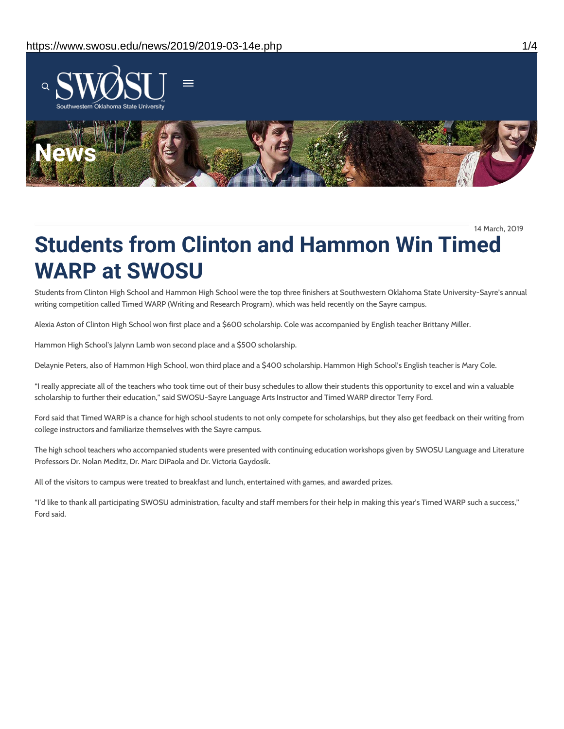

14 March, 2019

# **Students from Clinton and Hammon Win Timed WARP at SWOSU**

Students from Clinton High School and Hammon High School were the top three finishers at Southwestern Oklahoma State University-Sayre's annual writing competition called Timed WARP (Writing and Research Program), which was held recently on the Sayre campus.

Alexia Aston of Clinton High School won first place and a \$600 scholarship. Cole was accompanied by English teacher Brittany Miller.

Hammon High School's Jalynn Lamb won second place and a \$500 scholarship.

Delaynie Peters, also of Hammon High School, won third place and a \$400 scholarship. Hammon High School's English teacher is Mary Cole.

"I really appreciate all of the teachers who took time out of their busy schedules to allow their students this opportunity to excel and win a valuable scholarship to further their education," said SWOSU-Sayre Language Arts Instructor and Timed WARP director Terry Ford.

Ford said that Timed WARP is a chance for high school students to not only compete for scholarships, but they also get feedback on their writing from college instructors and familiarize themselves with the Sayre campus.

The high school teachers who accompanied students were presented with continuing education workshops given by SWOSU Language and Literature Professors Dr. Nolan Meditz, Dr. Marc DiPaola and Dr. Victoria Gaydosik.

All of the visitors to campus were treated to breakfast and lunch, entertained with games, and awarded prizes.

"I'd like to thank all participating SWOSU administration, faculty and staff members for their help in making this year's Timed WARP such a success," Ford said.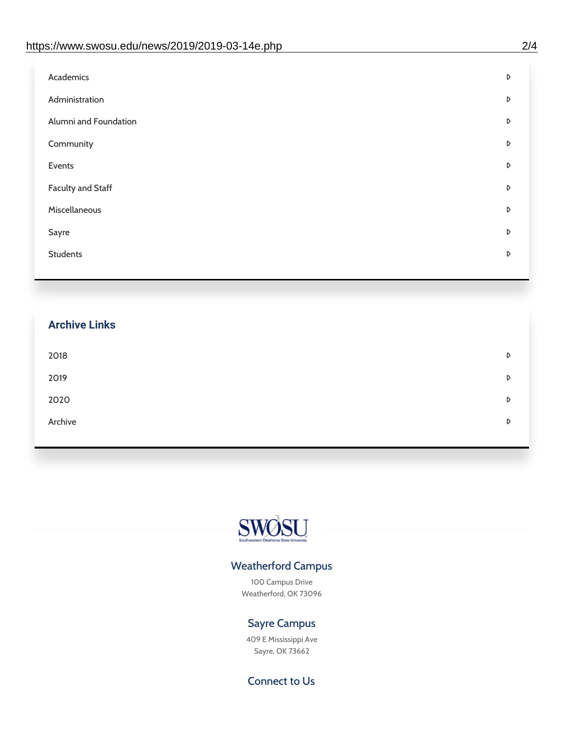| Academics                | D |
|--------------------------|---|
| Administration           | D |
| Alumni and Foundation    | D |
| Community                | D |
| Events                   | D |
| <b>Faculty and Staff</b> | D |
| Miscellaneous            | D |
| Sayre                    | D |
| <b>Students</b>          | D |

## **Archive Links**  $2018$  $2019$ [2020](https://www.swosu.edu/news/2020/index.php)  $\bullet$ [Archive](https://dc.swosu.edu/bark/) **Archive Archive Archive Archive Archive** Archive Archive Archive Archive Archive Archive Archive Archive



### Weatherford Campus

100 Campus Drive Weatherford, OK 73096

### Sayre Campus

409 E Mississippi Ave Sayre, OK 73662

Connect to Us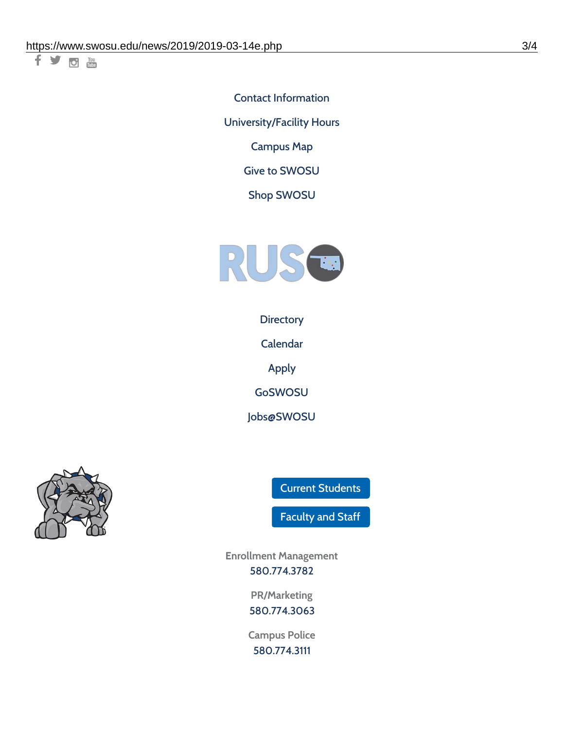千岁回调

Contact [Information](https://www.swosu.edu/about/contact.php) [University/Facility](https://www.swosu.edu/about/operating-hours.php) Hours [Campus](https://map.concept3d.com/?id=768#!ct/10964,10214,10213,10212,10205,10204,10203,10202,10136,10129,10128,0,31226,10130,10201,10641,0) Map

Give to [SWOSU](https://standingfirmly.com/donate)

Shop [SWOSU](https://shopswosu.merchorders.com/)



**[Directory](https://www.swosu.edu/directory/index.php)** 

[Calendar](https://eventpublisher.dudesolutions.com/swosu/)

[Apply](https://www.swosu.edu/admissions/apply-to-swosu.php)

[GoSWOSU](https://qlsso.quicklaunchsso.com/home/1267)

[Jobs@SWOSU](https://swosu.csod.com/ux/ats/careersite/1/home?c=swosu)



Current [Students](https://bulldog.swosu.edu/index.php)

[Faculty](https://bulldog.swosu.edu/faculty-staff/index.php) and Staff

**Enrollment Management** [580.774.3782](tel:5807743782)

> **PR/Marketing** [580.774.3063](tel:5807743063)

**Campus Police** [580.774.3111](tel:5807743111)